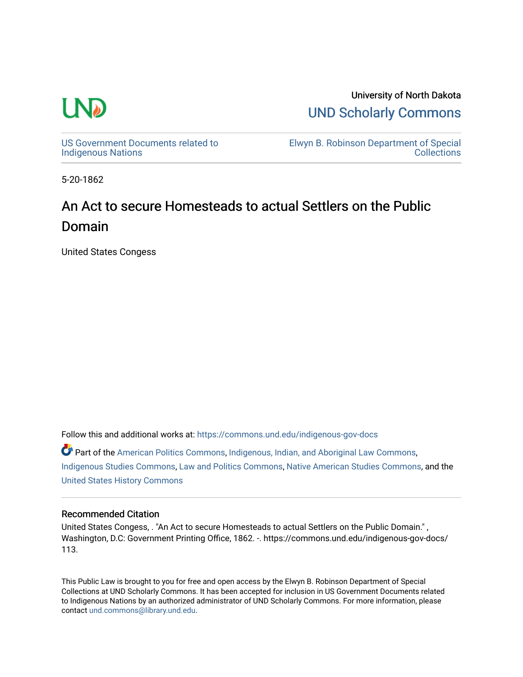

University of North Dakota [UND Scholarly Commons](https://commons.und.edu/) 

[US Government Documents related to](https://commons.und.edu/indigenous-gov-docs)  [Indigenous Nations](https://commons.und.edu/indigenous-gov-docs) 

[Elwyn B. Robinson Department of Special](https://commons.und.edu/archives)  [Collections](https://commons.und.edu/archives) 

5-20-1862

## An Act to secure Homesteads to actual Settlers on the Public Domain

United States Congess

Follow this and additional works at: [https://commons.und.edu/indigenous-gov-docs](https://commons.und.edu/indigenous-gov-docs?utm_source=commons.und.edu%2Findigenous-gov-docs%2F113&utm_medium=PDF&utm_campaign=PDFCoverPages) 

Part of the [American Politics Commons,](http://network.bepress.com/hgg/discipline/387?utm_source=commons.und.edu%2Findigenous-gov-docs%2F113&utm_medium=PDF&utm_campaign=PDFCoverPages) [Indigenous, Indian, and Aboriginal Law Commons](http://network.bepress.com/hgg/discipline/894?utm_source=commons.und.edu%2Findigenous-gov-docs%2F113&utm_medium=PDF&utm_campaign=PDFCoverPages), [Indigenous Studies Commons](http://network.bepress.com/hgg/discipline/571?utm_source=commons.und.edu%2Findigenous-gov-docs%2F113&utm_medium=PDF&utm_campaign=PDFCoverPages), [Law and Politics Commons](http://network.bepress.com/hgg/discipline/867?utm_source=commons.und.edu%2Findigenous-gov-docs%2F113&utm_medium=PDF&utm_campaign=PDFCoverPages), [Native American Studies Commons](http://network.bepress.com/hgg/discipline/1434?utm_source=commons.und.edu%2Findigenous-gov-docs%2F113&utm_medium=PDF&utm_campaign=PDFCoverPages), and the [United States History Commons](http://network.bepress.com/hgg/discipline/495?utm_source=commons.und.edu%2Findigenous-gov-docs%2F113&utm_medium=PDF&utm_campaign=PDFCoverPages)

#### Recommended Citation

United States Congess, . "An Act to secure Homesteads to actual Settlers on the Public Domain." , Washington, D.C: Government Printing Office, 1862. -. https://commons.und.edu/indigenous-gov-docs/ 113.

This Public Law is brought to you for free and open access by the Elwyn B. Robinson Department of Special Collections at UND Scholarly Commons. It has been accepted for inclusion in US Government Documents related to Indigenous Nations by an authorized administrator of UND Scholarly Commons. For more information, please contact [und.commons@library.und.edu.](mailto:und.commons@library.und.edu)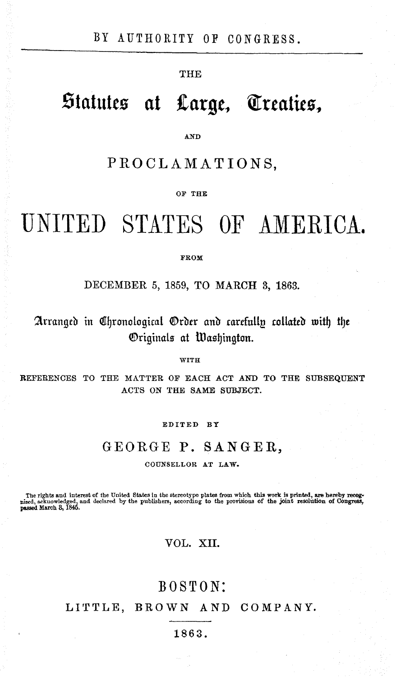#### **THE**

# Statutes at Large, Treaties,

AND

## PROCLAMATIONS.

OF THE

# UNITED STATES OF AMERICA.

#### **FROM**

DECEMBER 5, 1859, TO MARCH 3, 1863.

Arranged in Chronological Order and carefully collated with the Originals at Washington.

WITH

REFERENCES TO THE MATTER OF EACH ACT AND TO THE SUBSEQUENT ACTS ON THE SAME SUBJECT.

#### EDITED BY

#### GEORGE P. SANGER,

COUNSELLOR AT LAW.

The rights and interest of the United States in the stereotype plates from which this work is printed, are hereby recognized, acknowledged, and declared by the publishers, according to the provisions of the joint resolutio

#### VOL. XII.

### BOSTON:

LITTLE, BROWN AND COMPANY.

#### 1863.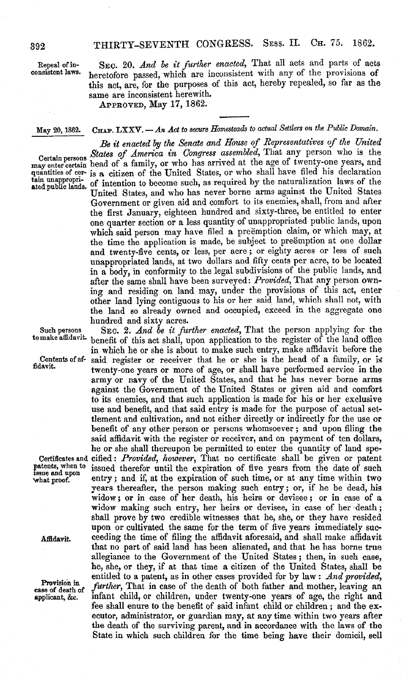Repeal or inconsistent laws.

SEC. 20. *And be it further enacted*, That all acts and parts of acts heretofore passed, which are inconsistent with any of the provisions of this act, are, for the purposes of this act, hereby repealed, so far as the same are inconsistent herewith.

APPROVED, May 17, 1862.

#### May 20, 1862. CHAP. LXXV. - An Act to secure Homesteads to actual Settlers on the Public Domain.

*Be it enacted by the Senate and House of Representatives of the United States of America in Congress assembled*, That any person who is the Certain persons States of America the Congress cause at the age of twenty-one years, and<br>may enter certain head of a family, or who has arrived at the age of twenty-one years, and<br>quantities of cer- is a citizen of the Uni United States, and who has never borne arms agamst the Umted States Government or given aid and comfort to its enemies, shall, from and after the first January, eighteen hundred and sixty-three, be entitled to enter one quarter section or a less quantity of unappropriated public lands, upon which said person may have filed a preemption claim, or which may, at the time the application is made, be subject to preemption at one dollar and twenty-five cents, or less, per acre; or eighty acres or less of such unappropriated lands, at two dollars and fifty cents per acre, to be located in a body, in conformity to the legal subdivisions of the public lands, and after the same shall have been surveyed: *Provided,* That any person owning and residing on land may, under the provisions of this act, enter other land lying contiguous to his or her said land, which shall not, with the land so already owned and occupied, exceed in the aggregate one

hundred and sixty acres.<br>Such persons. Sec. 2. *And be it further enacted*, That the person applying for the<br>tomake affidavity honofit of this act shall upon application to the register of the land office. benefit of this act shall, upon application to the register of the land office in which he or she is about to make such entry, make affidavit before the Contents of af- said register or receiver that he or she is the head of a family, or is twenty-one years or more of age, or shall have performed service in the army or navy of the United States, and that he has never borne arms against the Government of the United States or given aid and comfort to its enemies, and that such application is made for his or her exclusive use and benefit, and that said entry is made for the purpose of actual settlement and cultivation, and not either directly or indirectly for the use or benefit of any other person or persons whomsoever; and upon filing the said affidavit with the register or receiver, and on payment of ten dollars, he or she shall thereupon be permitted to enter the quantity of land spe-Certificates and cified : *Provided, however*, That no certificate shall be given or patent<br>patents, when to issued therefor until the expiration of five years from the date of such<br>issue and upon<br>antimated if at the expir issued therefor until the expiration of five years from the date of such  $\frac{1}{2}$  •  $\frac{1}{2}$  •  $\frac{1}{2}$  entry; and if, at the expiration of such time, or at any time within two years thereafter, the person making such entry ; or, if he be dead, his widow; or in case of her death, his heirs or devisee ; or in case of a widow making such entry, her heirs or devisee, in case of her death; shall prove by two credible witnesses that he, she, or they have resided upon or cultivated the same for the term of five years immediately succeeding the time of filing the affidavit aforesaid, and shall make affidavit that no part of said land has been alienated, and that he has borne true allegiance to the Government of the United States; then, in such case, he, she, or they, if at that time a citizen of the United States, shall be entitled to a patent, as in other cases provided for by law: *And provided*, further, That in case of the death of both father and mother, leaving an infant child, or children, under twenty-one years of age, the right and fee shall enure to the benefit of said infant child or children ; and the executor, administrator, or guardian may, at any time within two years after the death of the surviving parent, and in accordance with the laws of the State in which such children for the time being have their domicil, sell

Affidavit.

Provision in case of death of applicant, &c.